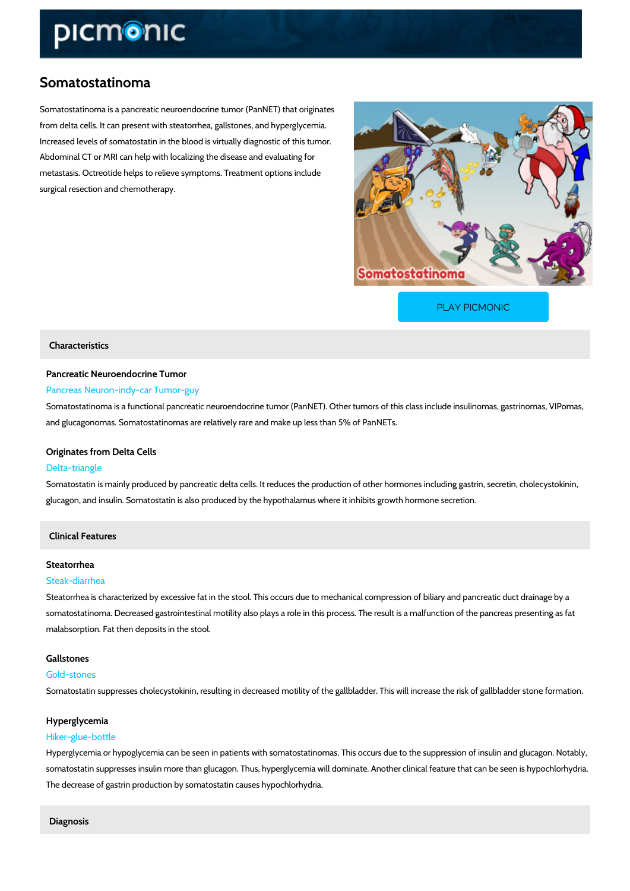# Somatostatinoma

Somatostatinoma is a pancreatic neuroendocrine tumor (PanNET) that originates from delta cells. It can present with steatorrhea, gallstones, and hyperglycemia. Increased levels of somatostatin in the blood is virtually diagnostic of this tumor. Abdominal CT or MRI can help with localizing the disease and evaluating for metastasis. Octreotide helps to relieve symptoms. Treatment options include surgical resection and chemotherapy.

[PLAY PICMONIC](https://www.picmonic.com/learn/somatostatinoma_50350?utm_source=downloadable_content&utm_medium=distributedcontent&utm_campaign=pathways_pdf&utm_content=Somatostatinoma&utm_ad_group=leads&utm_market=all)

### Characteristics

# Pancreatic Neuroendocrine Tumor

## Pancreas Neuron-indy-car Tumor-guy

Somatostatinoma is a functional pancreatic neuroendocrine tumor (PanNET). Other tumors of t and glucagonomas. Somatostatinomas are relatively rare and make up less than 5% of PanNET

#### Originates from Delta Cells

#### Delta-triangle

Somatostatin is mainly produced by pancreatic delta cells. It reduces the production of other glucagon, and insulin. Somatostatin is also produced by the hypothalamus where it inhibits gr

### Clinical Features

#### Steatorrhea

#### Steak-diarrhea

Steatorrhea is characterized by excessive fat in the stool. This occurs due to mechanical com somatostatinoma. Decreased gastrointestinal motility also plays a role in this process. The re malabsorption. Fat then deposits in the stool.

#### Gallstones

#### Gold-stones

Somatostatin suppresses cholecystokinin, resulting in decreased motility of the gallbladder. T

#### Hyperglycemia

#### Hiker-glue-bottle

Hyperglycemia or hypoglycemia can be seen in patients with somatostatinomas. This occurs du somatostatin suppresses insulin more than glucagon. Thus, hyperglycemia will dominate. Anot The decrease of gastrin production by somatostatin causes hypochlorhydria.